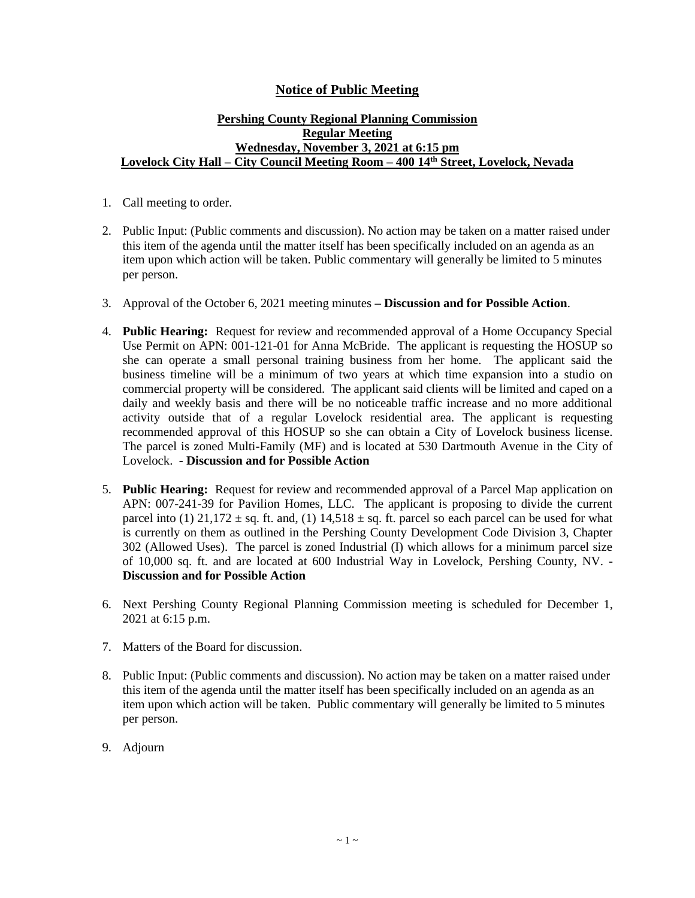## **Notice of Public Meeting**

## **Pershing County Regional Planning Commission Regular Meeting Wednesday, November 3, 2021 at 6:15 pm Lovelock City Hall – City Council Meeting Room – 400 14th Street, Lovelock, Nevada**

- 1. Call meeting to order.
- 2. Public Input: (Public comments and discussion). No action may be taken on a matter raised under this item of the agenda until the matter itself has been specifically included on an agenda as an item upon which action will be taken. Public commentary will generally be limited to 5 minutes per person.
- 3. Approval of the October 6, 2021 meeting minutes **– Discussion and for Possible Action**.
- 4. **Public Hearing:** Request for review and recommended approval of a Home Occupancy Special Use Permit on APN: 001-121-01 for Anna McBride. The applicant is requesting the HOSUP so she can operate a small personal training business from her home. The applicant said the business timeline will be a minimum of two years at which time expansion into a studio on commercial property will be considered. The applicant said clients will be limited and caped on a daily and weekly basis and there will be no noticeable traffic increase and no more additional activity outside that of a regular Lovelock residential area. The applicant is requesting recommended approval of this HOSUP so she can obtain a City of Lovelock business license. The parcel is zoned Multi-Family (MF) and is located at 530 Dartmouth Avenue in the City of Lovelock. **- Discussion and for Possible Action**
- 5. **Public Hearing:** Request for review and recommended approval of a Parcel Map application on APN: 007-241-39 for Pavilion Homes, LLC. The applicant is proposing to divide the current parcel into (1)  $21,172 \pm sq$ . ft. and, (1)  $14,518 \pm sq$ . ft. parcel so each parcel can be used for what is currently on them as outlined in the Pershing County Development Code Division 3, Chapter 302 (Allowed Uses). The parcel is zoned Industrial (I) which allows for a minimum parcel size of 10,000 sq. ft. and are located at 600 Industrial Way in Lovelock, Pershing County, NV. - **Discussion and for Possible Action**
- 6. Next Pershing County Regional Planning Commission meeting is scheduled for December 1, 2021 at 6:15 p.m.
- 7. Matters of the Board for discussion.
- 8. Public Input: (Public comments and discussion). No action may be taken on a matter raised under this item of the agenda until the matter itself has been specifically included on an agenda as an item upon which action will be taken. Public commentary will generally be limited to 5 minutes per person.
- 9. Adjourn